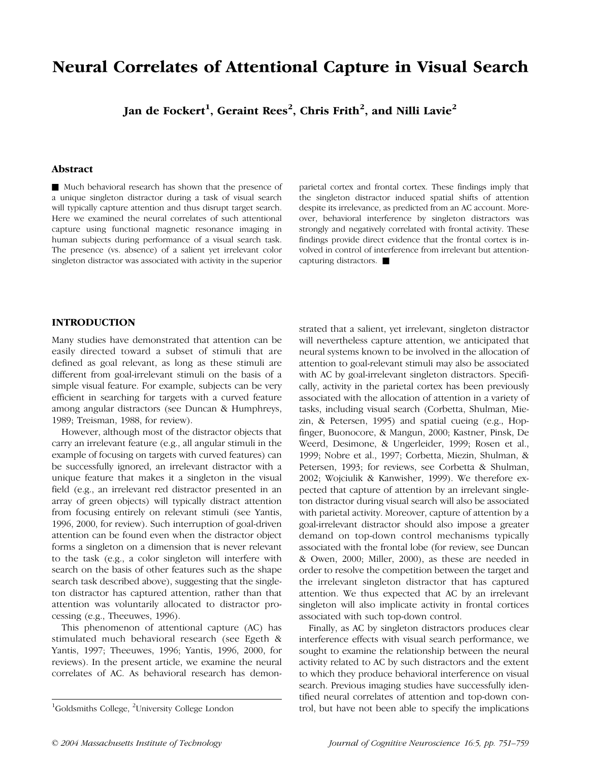# **Neural Correlates of Attentional Capture in Visual Search**

Jan de Fockert<sup>1</sup>, Geraint Rees<sup>2</sup>, Chris Frith<sup>2</sup>, and Nilli Lavie<sup>2</sup>

## **Abstract**

Much behavioral research has shown that the presence of a unique singleton distractor during a task of visual search will typically capture attention and thus disrupt target search. Here we examined the neural correlates of such attentional capture using functional magnetic resonance imaging in human subjects during performance of a visual search task. The presence (vs. absence) of a salient yet irrelevant color singleton distractor was associated with activity in the superior

parietal cortex and frontal cortex. These findings imply that the singleton distractor induced spatial shifts of attention despite its irrelevance, as predicted from an AC account. Moreover, behavioral interference by singleton distractors was strongly and negatively correlated with frontal activity. These findings provide direct evidence that the frontal cortex is involved in control of interference from irrelevant but attentioncapturing distractors.

# **INTRODUCTION**

Many studies have demonstrated that attention can be easily directed toward a subset of stimuli that are defined as goal relevant, as long as these stimuli are different from goal-irrelevant stimuli on the basis of a simple visual feature. For example, subjects can be very efficient in searching for targets with a curved feature among angular distractors (see Duncan & Humphreys, 1989; Treisman, 1988, for review).

However, although most of the distractor objects that carry an irrelevant feature (e.g., all angular stimuli in the example of focusing on targets with curved features) can be successfully ignored, an irrelevant distractor with a unique feature that makes it a singleton in the visual field (e.g., an irrelevant red distractor presented in an array of green objects) will typically distract attention from focusing entirely on relevant stimuli (see Yantis, 1996, 2000, for review). Such interruption of goal-driven attention can be found even when the distractor object forms a singleton on a dimension that is never relevant to the task (e.g., a color singleton will interfere with search on the basis of other features such as the shape search task described above), suggesting that the singleton distractor has captured attention, rather than that attention was voluntarily allocated to distractor processing (e.g., Theeuwes, 1996).

This phenomenon of attentional capture (AC) has stimulated much behavioral research (see Egeth & Yantis, 1997; Theeuwes, 1996; Yantis, 1996, 2000, for reviews). In the present article, we examine the neural correlates of AC. As behavioral research has demonstrated that a salient, yet irrelevant, singleton distractor will nevertheless capture attention, we anticipated that neural systems known to be involved in the allocation of attention to goal-relevant stimuli may also be associated with AC by goal-irrelevant singleton distractors. Specifically, activity in the parietal cortex has been previously associated with the allocation of attention in a variety of tasks, including visual search (Corbetta, Shulman, Miezin, & Petersen, 1995) and spatial cueing (e.g., Hopfinger, Buonocore, & Mangun, 2000; Kastner, Pinsk, De Weerd, Desimone, & Ungerleider, 1999; Rosen et al., 1999; Nobre et al., 1997; Corbetta, Miezin, Shulman, & Petersen, 1993; for reviews, see Corbetta & Shulman, 2002; Wojciulik & Kanwisher, 1999). We therefore expected that capture of attention by an irrelevant singleton distractor during visual search will also be associated with parietal activity. Moreover, capture of attention by a goal-irrelevant distractor should also impose a greater demand on top-down control mechanisms typically associated with the frontal lobe (for review, see Duncan & Owen, 2000; Miller, 2000), as these are needed in order to resolve the competition between the target and the irrelevant singleton distractor that has captured attention. We thus expected that AC by an irrelevant singleton will also implicate activity in frontal cortices associated with such top-down control.

Finally, as AC by singleton distractors produces clear interference effects with visual search performance, we sought to examine the relationship between the neural activity related to AC by such distractors and the extent to which they produce behavioral interference on visual search. Previous imaging studies have successfully identified neural correlates of attention and top-down control, but have not been able to specify the implications

<sup>&</sup>lt;sup>1</sup>Goldsmiths College, <sup>2</sup>University College London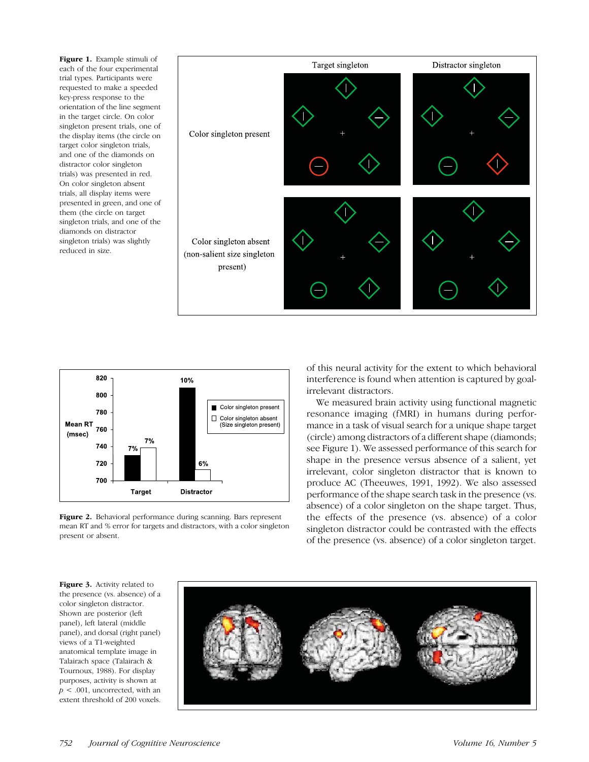Figure 1. Example stimuli of each of the four experimental trial types. Participants were requested to make a speeded key-press response to the orientation of the line segment in the target circle. On color singleton present trials, one of the display items (the circle on target color singleton trials, and one of the diamonds on distractor color singleton trials) was presented in red. On color singleton absent trials, all display items were presented in green, and one of them (the circle on target singleton trials, and one of the diamonds on distractor singleton trials) was slightly reduced in size.





Figure 2. Behavioral performance during scanning. Bars represent mean RT and % error for targets and distractors, with a color singleton present or absent.

of this neural activity for the extent to which behavioral interference is found when attention is captured by goalirrelevant distractors.

We measured brain activity using functional magnetic resonance imaging (fMRI) in humans during performance in a task of visual search for a unique shape target (circle) among distractors of a different shape (diamonds; see Figure 1). We assessed performance of this search for shape in the presence versus absence of a salient, yet irrelevant, color singleton distractor that is known to produce AC (Theeuwes, 1991, 1992). We also assessed performance of the shape search task in the presence (vs. absence) of a color singleton on the shape target. Thus, the effects of the presence (vs. absence) of a color singleton distractor could be contrasted with the effects of the presence (vs. absence) of a color singleton target.

Figure 3. Activity related to the presence (vs. absence) of a color singleton distractor. Shown are posterior (left panel), left lateral (middle panel), and dorsal (right panel) views of a T1-weighted anatomical template image in Talairach space (Talairach & Tournoux, 1988). For display purposes, activity is shown at  $p < .001$ , uncorrected, with an extent threshold of 200 voxels.

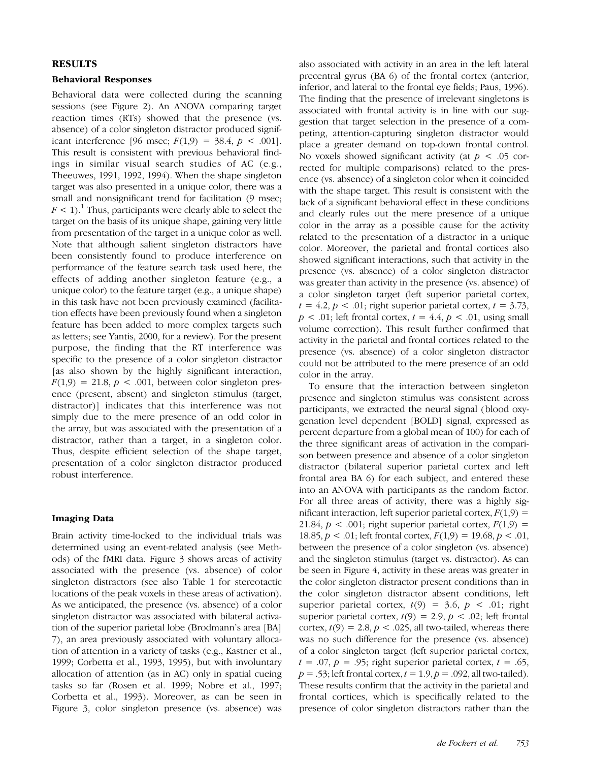#### **RESULTS**

## **Behavioral Responses**

Behavioral data were collected during the scanning sessions (see Figure 2). An ANOVA comparing target reaction times (RTs) showed that the presence (vs. absence) of a color singleton distractor produced significant interference [96 msec;  $F(1,9) = 38.4, p < .001$ ]. This result is consistent with previous behavioral findings in similar visual search studies of AC (e.g., Theeuwes, 1991, 1992, 1994). When the shape singleton target was also presented in a unique color, there was a small and nonsignificant trend for facilitation (9 msec;  $F \leq 1$ .<sup>1</sup> Thus, participants were clearly able to select the target on the basis of its unique shape, gaining very little from presentation of the target in a unique color as well. Note that although salient singleton distractors have been consistently found to produce interference on performance of the feature search task used here, the effects of adding another singleton feature (e.g., a unique color) to the feature target (e.g., a unique shape) in this task have not been previously examined (facilitation effects have been previously found when a singleton feature has been added to more complex targets such as letters; see Yantis, 2000, for a review). For the present purpose, the finding that the RT interference was specific to the presence of a color singleton distractor [as also shown by the highly significant interaction,  $F(1,9) = 21.8, p < .001$ , between color singleton presence (present, absent) and singleton stimulus (target, distractor)] indicates that this interference was not simply due to the mere presence of an odd color in the array, but was associated with the presentation of a distractor, rather than a target, in a singleton color. Thus, despite efficient selection of the shape target, presentation of a color singleton distractor produced robust interference.

# **Imaging Data**

Brain activity time-locked to the individual trials was determined using an event-related analysis (see Methods) of the fMRI data. Figure 3 shows areas of activity associated with the presence (vs. absence) of color singleton distractors (see also Table 1 for stereotactic locations of the peak voxels in these areas of activation). As we anticipated, the presence (vs. absence) of a color singleton distractor was associated with bilateral activation of the superior parietal lobe (Brodmann's area [BA] 7), an area previously associated with voluntary allocation of attention in a variety of tasks (e.g., Kastner et al., 1999; Corbetta et al., 1993, 1995), but with involuntary allocation of attention (as in AC) only in spatial cueing tasks so far (Rosen et al. 1999; Nobre et al., 1997; Corbetta et al., 1993). Moreover, as can be seen in Figure 3, color singleton presence (vs. absence) was

also associated with activity in an area in the left lateral precentral gyrus (BA 6) of the frontal cortex (anterior, inferior, and lateral to the frontal eye fields; Paus, 1996). The finding that the presence of irrelevant singletons is associated with frontal activity is in line with our suggestion that target selection in the presence of a competing, attention-capturing singleton distractor would place a greater demand on top-down frontal control. No voxels showed significant activity (at  $p < .05$  corrected for multiple comparisons) related to the presence (vs. absence) of a singleton color when it coincided with the shape target. This result is consistent with the lack of a significant behavioral effect in these conditions and clearly rules out the mere presence of a unique color in the array as a possible cause for the activity related to the presentation of a distractor in a unique color. Moreover, the parietal and frontal cortices also showed significant interactions, such that activity in the presence (vs. absence) of a color singleton distractor was greater than activity in the presence (vs. absence) of a color singleton target (left superior parietal cortex,  $t = 4.2, p < .01$ ; right superior parietal cortex,  $t = 3.73$ ,  $p < .01$ ; left frontal cortex,  $t = 4.4$ ,  $p < .01$ , using small volume correction). This result further confirmed that activity in the parietal and frontal cortices related to the presence (vs. absence) of a color singleton distractor could not be attributed to the mere presence of an odd color in the array.

To ensure that the interaction between singleton presence and singleton stimulus was consistent across participants, we extracted the neural signal (blood oxygenation level dependent [BOLD] signal, expressed as percent departure from a global mean of 100) for each of the three significant areas of activation in the comparison between presence and absence of a color singleton distractor (bilateral superior parietal cortex and left frontal area BA 6) for each subject, and entered these into an ANOVA with participants as the random factor. For all three areas of activity, there was a highly significant interaction, left superior parietal cortex,  $F(1,9) =$ 21.84,  $p < .001$ ; right superior parietal cortex,  $F(1,9) =$ 18.85,  $p < .01$ ; left frontal cortex,  $F(1,9) = 19.68$ ,  $p < .01$ , between the presence of a color singleton (vs. absence) and the singleton stimulus (target vs. distractor). As can be seen in Figure 4, activity in these areas was greater in the color singleton distractor present conditions than in the color singleton distractor absent conditions, left superior parietal cortex,  $t(9) = 3.6$ ,  $p < .01$ ; right superior parietal cortex,  $t(9) = 2.9$ ,  $p < .02$ ; left frontal cortex,  $t(9) = 2.8$ ,  $p < .025$ , all two-tailed, whereas there was no such difference for the presence (vs. absence) of a color singleton target (left superior parietal cortex,  $t = .07$ ,  $p = .95$ ; right superior parietal cortex,  $t = .65$ ,  $p = .53$ ; left frontal cortex,  $t = 1.9$ ,  $p = .092$ , all two-tailed). These results confirm that the activity in the parietal and frontal cortices, which is specifically related to the presence of color singleton distractors rather than the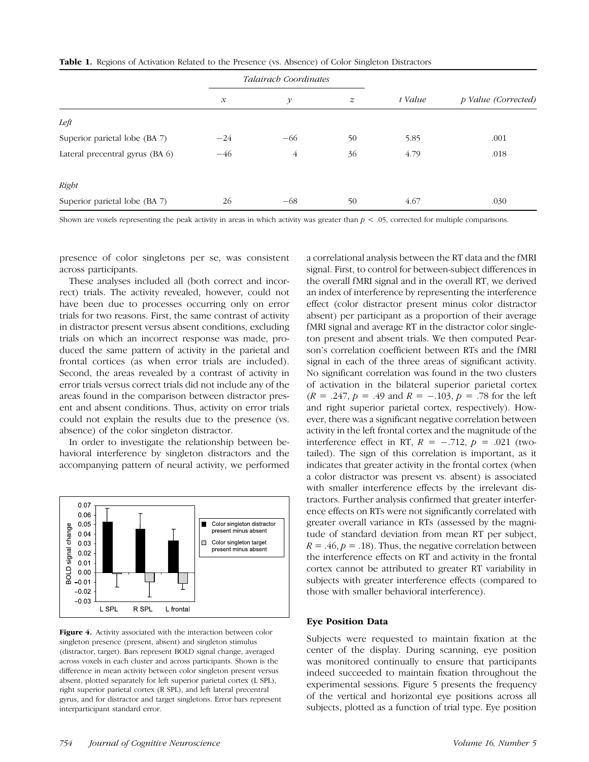|  |  |  |  |  |  |  |  |  |  |  |  |  |  | Table 1. Regions of Activation Related to the Presence (vs. Absence) of Color Singleton Distractors |
|--|--|--|--|--|--|--|--|--|--|--|--|--|--|-----------------------------------------------------------------------------------------------------|
|--|--|--|--|--|--|--|--|--|--|--|--|--|--|-----------------------------------------------------------------------------------------------------|

|                                 |               | Talairach Coordinates             |    | p Value (Corrected) |      |
|---------------------------------|---------------|-----------------------------------|----|---------------------|------|
|                                 | $\mathcal{X}$ | $\mathcal{Y}$<br>$\boldsymbol{z}$ |    |                     |      |
| Left                            |               |                                   |    |                     |      |
| Superior parietal lobe (BA 7)   | $-24$         | $-66$                             | 50 | 5.85                | .001 |
| Lateral precentral gyrus (BA 6) | $-46$         | $\overline{4}$                    | 36 | 4.79                | .018 |
| Right                           |               |                                   |    |                     |      |
| Superior parietal lobe (BA 7)   | 26            | $-68$                             | 50 | 4.67                | .030 |

Shown are voxels representing the peak activity in areas in which activity was greater than  $p < .05$ , corrected for multiple comparisons.

presence of color singletons per se, was consistent across participants.

These analyses included all (both correct and incorrect) trials. The activity revealed, however, could not have been due to processes occurring only on error trials for two reasons. First, the same contrast of activity in distractor present versus absent conditions, excluding trials on which an incorrect response was made, produced the same pattern of activity in the parietal and frontal cortices (as when error trials are included). Second, the areas revealed by a contrast of activity in error trials versus correct trials did not include any of the areas found in the comparison between distractor present and absent conditions. Thus, activity on error trials could not explain the results due to the presence (vs. absence) of the color singleton distractor.

In order to investigate the relationship between behavioral interference by singleton distractors and the accompanying pattern of neural activity, we performed



Figure 4. Activity associated with the interaction between color singleton presence (present, absent) and singleton stimulus (distractor, target). Bars represent BOLD signal change, averaged across voxels in each cluster and across participants. Shown is the difference in mean activity between color singleton present versus absent, plotted separately for left superior parietal cortex (L SPL), right superior parietal cortex (R SPL), and left lateral precentral gyrus, and for distractor and target singletons. Error bars represent interparticipant standard error.

a correlational analysis between the RT data and the fMRI signal. First, to control for between-subject differences in the overall fMRI signal and in the overall RT, we derived an index of interference by representing the interference effect (color distractor present minus color distractor absent) per participant as a proportion of their average fMRI signal and average RT in the distractor color singleton present and absent trials. We then computed Pearson's correlation coefficient between RTs and the fMRI signal in each of the three areas of significant activity. No significant correlation was found in the two clusters of activation in the bilateral superior parietal cortex  $(R = .247, p = .49 \text{ and } R = -.103, p = .78 \text{ for the left})$ and right superior parietal cortex, respectively). However, there was a significant negative correlation between activity in the left frontal cortex and the magnitude of the interference effect in RT,  $R = -.712$ ,  $p = .021$  (twotailed). The sign of this correlation is important, as it indicates that greater activity in the frontal cortex (when a color distractor was present vs. absent) is associated with smaller interference effects by the irrelevant distractors. Further analysis confirmed that greater interference effects on RTs were not significantly correlated with greater overall variance in RTs (assessed by the magnitude of standard deviation from mean RT per subject,  $R = .46, p = .18$ ). Thus, the negative correlation between the interference effects on RT and activity in the frontal cortex cannot be attributed to greater RT variability in subjects with greater interference effects (compared to those with smaller behavioral interference).

#### **Eye Position Data**

Subjects were requested to maintain fixation at the center of the display. During scanning, eye position was monitored continually to ensure that participants indeed succeeded to maintain fixation throughout the experimental sessions. Figure 5 presents the frequency of the vertical and horizontal eye positions across all subjects, plotted as a function of trial type. Eye position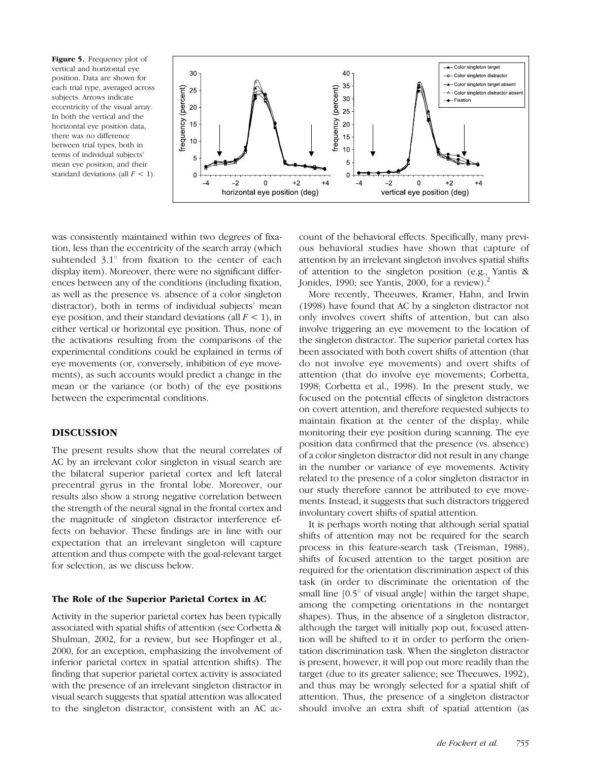Figure 5. Frequency plot of vertical and horizontal eye position. Data are shown for each trial type, averaged across subjects. Arrows indicate eccentricity of the visual array. In both the vertical and the horizontal eye position data, there was no difference between trial types, both in terms of individual subjects' mean eye position, and their standard deviations (all  $F < 1$ ).



was consistently maintained within two degrees of fixation, less than the eccentricity of the search array (which subtended 3.1° from fixation to the center of each display item). Moreover, there were no significant differences between any of the conditions (including fixation, as well as the presence vs. absence of a color singleton distractor), both in terms of individual subjects' mean eye position, and their standard deviations (all  $F < 1$ ), in either vertical or horizontal eye position. Thus, none of the activations resulting from the comparisons of the experimental conditions could be explained in terms of eye movements (or, conversely, inhibition of eye movements), as such accounts would predict a change in the mean or the variance (or both) of the eye positions between the experimental conditions.

# **DISCUSSION**

The present results show that the neural correlates of AC by an irrelevant color singleton in visual search are the bilateral superior parietal cortex and left lateral precentral gyrus in the frontal lobe. Moreover, our results also show a strong negative correlation between the strength of the neural signal in the frontal cortex and the magnitude of singleton distractor interference effects on behavior. These findings are in line with our expectation that an irrelevant singleton will capture attention and thus compete with the goal-relevant target for selection, as we discuss below.

# The Role of the Superior Parietal Cortex in AC

Activity in the superior parietal cortex has been typically associated with spatial shifts of attention (see Corbetta & Shulman, 2002, for a review, but see Hopfinger et al., 2000, for an exception, emphasizing the involvement of inferior parietal cortex in spatial attention shifts). The finding that superior parietal cortex activity is associated with the presence of an irrelevant singleton distractor in visual search suggests that spatial attention was allocated to the singleton distractor, consistent with an AC ac-

count of the behavioral effects. Specifically, many previous behavioral studies have shown that capture of attention by an irrelevant singleton involves spatial shifts of attention to the singleton position (e.g., Yantis  $\&$ Jonides, 1990; see Yantis, 2000, for a review). $^{2}$ 

More recently, Theeuwes, Kramer, Hahn, and Irwin (1998) have found that AC by a singleton distractor not only involves covert shifts of attention, but can also involve triggering an eye movement to the location of the singleton distractor. The superior parietal cortex has been associated with both covert shifts of attention (that do not involve eye movements) and overt shifts of attention (that do involve eve movements; Corbetta, 1998; Corbetta et al., 1998). In the present study, we focused on the potential effects of singleton distractors on covert attention, and therefore requested subjects to maintain fixation at the center of the display, while monitoring their eye position during scanning. The eye position data confirmed that the presence (vs. absence) of a color singleton distractor did not result in any change in the number or variance of eye movements. Activity related to the presence of a color singleton distractor in our study therefore cannot be attributed to eye movements. Instead, it suggests that such distractors triggered involuntary covert shifts of spatial attention.

It is perhaps worth noting that although serial spatial shifts of attention may not be required for the search process in this feature-search task (Treisman, 1988), shifts of focused attention to the target position are required for the orientation discrimination aspect of this task (in order to discriminate the orientation of the small line  $[0.5^{\circ}$  of visual angle] within the target shape, among the competing orientations in the nontarget shapes). Thus, in the absence of a singleton distractor, although the target will initially pop out, focused attention will be shifted to it in order to perform the orientation discrimination task. When the singleton distractor is present, however, it will pop out more readily than the target (due to its greater salience; see Theeuwes, 1992), and thus may be wrongly selected for a spatial shift of attention. Thus, the presence of a singleton distractor should involve an extra shift of spatial attention (as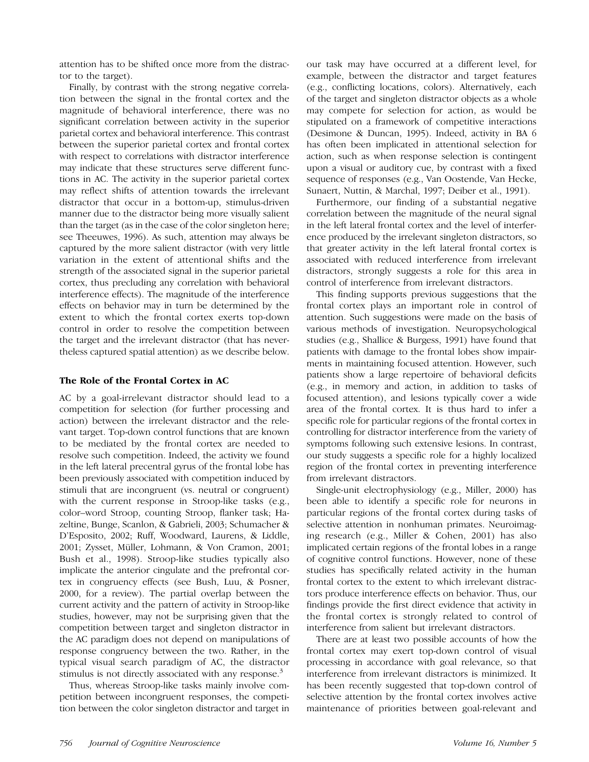attention has to be shifted once more from the distractor to the target).

Finally, by contrast with the strong negative correlation between the signal in the frontal cortex and the magnitude of behavioral interference, there was no significant correlation between activity in the superior parietal cortex and behavioral interference. This contrast between the superior parietal cortex and frontal cortex with respect to correlations with distractor interference may indicate that these structures serve different functions in AC. The activity in the superior parietal cortex may reflect shifts of attention towards the irrelevant distractor that occur in a bottom-up, stimulus-driven manner due to the distractor being more visually salient than the target (as in the case of the color singleton here; see Theeuwes, 1996). As such, attention may always be captured by the more salient distractor (with very little variation in the extent of attentional shifts and the strength of the associated signal in the superior parietal cortex, thus precluding any correlation with behavioral interference effects). The magnitude of the interference effects on behavior may in turn be determined by the extent to which the frontal cortex exerts top-down control in order to resolve the competition between the target and the irrelevant distractor (that has nevertheless captured spatial attention) as we describe below.

# The Role of the Frontal Cortex in AC

AC by a goal-irrelevant distractor should lead to a competition for selection (for further processing and action) between the irrelevant distractor and the relevant target. Top-down control functions that are known to be mediated by the frontal cortex are needed to resolve such competition. Indeed, the activity we found in the left lateral precentral gyrus of the frontal lobe has been previously associated with competition induced by stimuli that are incongruent (vs. neutral or congruent) with the current response in Stroop-like tasks (e.g., color-word Stroop, counting Stroop, flanker task; Hazeltine, Bunge, Scanlon, & Gabrieli, 2003; Schumacher & D'Esposito, 2002; Ruff, Woodward, Laurens, & Liddle, 2001; Zysset, Müller, Lohmann, & Von Cramon, 2001; Bush et al., 1998). Stroop-like studies typically also implicate the anterior cingulate and the prefrontal cortex in congruency effects (see Bush, Luu, & Posner, 2000, for a review). The partial overlap between the current activity and the pattern of activity in Stroop-like studies, however, may not be surprising given that the competition between target and singleton distractor in the AC paradigm does not depend on manipulations of response congruency between the two. Rather, in the typical visual search paradigm of AC, the distractor stimulus is not directly associated with any response.<sup>3</sup>

Thus, whereas Stroop-like tasks mainly involve competition between incongruent responses, the competition between the color singleton distractor and target in our task may have occurred at a different level, for example, between the distractor and target features (e.g., conflicting locations, colors). Alternatively, each of the target and singleton distractor objects as a whole may compete for selection for action, as would be stipulated on a framework of competitive interactions (Desimone & Duncan, 1995). Indeed, activity in BA 6 has often been implicated in attentional selection for action, such as when response selection is contingent upon a visual or auditory cue, by contrast with a fixed sequence of responses (e.g., Van Oostende, Van Hecke, Sunaert, Nuttin, & Marchal, 1997; Deiber et al., 1991).

Furthermore, our finding of a substantial negative correlation between the magnitude of the neural signal in the left lateral frontal cortex and the level of interference produced by the irrelevant singleton distractors, so that greater activity in the left lateral frontal cortex is associated with reduced interference from irrelevant distractors, strongly suggests a role for this area in control of interference from irrelevant distractors.

This finding supports previous suggestions that the frontal cortex plays an important role in control of attention. Such suggestions were made on the basis of various methods of investigation. Neuropsychological studies (e.g., Shallice & Burgess, 1991) have found that patients with damage to the frontal lobes show impairments in maintaining focused attention. However, such patients show a large repertoire of behavioral deficits (e.g., in memory and action, in addition to tasks of focused attention), and lesions typically cover a wide area of the frontal cortex. It is thus hard to infer a specific role for particular regions of the frontal cortex in controlling for distractor interference from the variety of symptoms following such extensive lesions. In contrast, our study suggests a specific role for a highly localized region of the frontal cortex in preventing interference from irrelevant distractors.

Single-unit electrophysiology (e.g., Miller, 2000) has been able to identify a specific role for neurons in particular regions of the frontal cortex during tasks of selective attention in nonhuman primates. Neuroimaging research (e.g., Miller & Cohen, 2001) has also implicated certain regions of the frontal lobes in a range of cognitive control functions. However, none of these studies has specifically related activity in the human frontal cortex to the extent to which irrelevant distractors produce interference effects on behavior. Thus, our findings provide the first direct evidence that activity in the frontal cortex is strongly related to control of interference from salient but irrelevant distractors.

There are at least two possible accounts of how the frontal cortex may exert top-down control of visual processing in accordance with goal relevance, so that interference from irrelevant distractors is minimized. It has been recently suggested that top-down control of selective attention by the frontal cortex involves active maintenance of priorities between goal-relevant and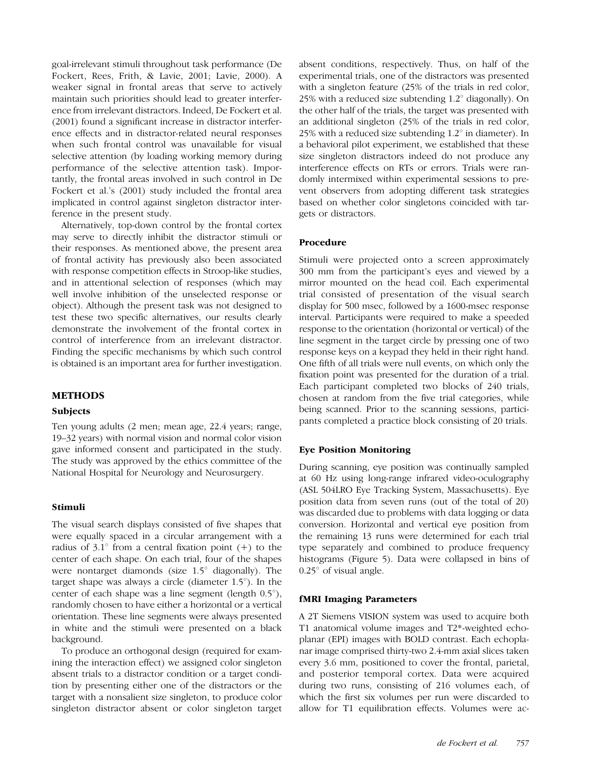goal-irrelevant stimuli throughout task performance (De Fockert, Rees, Frith, & Lavie, 2001; Lavie, 2000). A weaker signal in frontal areas that serve to actively maintain such priorities should lead to greater interference from irrelevant distractors. Indeed, De Fockert et al. (2001) found a significant increase in distractor interference effects and in distractor-related neural responses when such frontal control was unavailable for visual selective attention (by loading working memory during performance of the selective attention task). Importantly, the frontal areas involved in such control in De Fockert et al.'s (2001) study included the frontal area implicated in control against singleton distractor interference in the present study.

Alternatively, top-down control by the frontal cortex may serve to directly inhibit the distractor stimuli or their responses. As mentioned above, the present area of frontal activity has previously also been associated with response competition effects in Stroop-like studies, and in attentional selection of responses (which may well involve inhibition of the unselected response or object). Although the present task was not designed to test these two specific alternatives, our results clearly demonstrate the involvement of the frontal cortex in control of interference from an irrelevant distractor. Finding the specific mechanisms by which such control is obtained is an important area for further investigation.

# **METHODS**

#### **Subjects**

Ten young adults (2 men; mean age, 22.4 years; range, 19-32 years) with normal vision and normal color vision gave informed consent and participated in the study. The study was approved by the ethics committee of the National Hospital for Neurology and Neurosurgery.

# Stimuli

The visual search displays consisted of five shapes that were equally spaced in a circular arrangement with a radius of  $3.1^{\circ}$  from a central fixation point (+) to the center of each shape. On each trial, four of the shapes were nontarget diamonds (size  $1.5^{\circ}$  diagonally). The target shape was always a circle (diameter  $1.5^{\circ}$ ). In the center of each shape was a line segment (length  $0.5^{\circ}$ ), randomly chosen to have either a horizontal or a vertical orientation. These line segments were always presented in white and the stimuli were presented on a black background.

To produce an orthogonal design (required for examining the interaction effect) we assigned color singleton absent trials to a distractor condition or a target condition by presenting either one of the distractors or the target with a nonsalient size singleton, to produce color singleton distractor absent or color singleton target absent conditions, respectively. Thus, on half of the experimental trials, one of the distractors was presented with a singleton feature (25% of the trials in red color, 25% with a reduced size subtending  $1.2^{\circ}$  diagonally). On the other half of the trials, the target was presented with an additional singleton (25% of the trials in red color, 25% with a reduced size subtending  $1.2^{\circ}$  in diameter). In a behavioral pilot experiment, we established that these size singleton distractors indeed do not produce any interference effects on RTs or errors. Trials were randomly intermixed within experimental sessions to prevent observers from adopting different task strategies based on whether color singletons coincided with targets or distractors.

### Procedure

Stimuli were projected onto a screen approximately 300 mm from the participant's eyes and viewed by a mirror mounted on the head coil. Each experimental trial consisted of presentation of the visual search display for 500 msec, followed by a 1600-msec response interval. Participants were required to make a speeded response to the orientation (horizontal or vertical) of the line segment in the target circle by pressing one of two response keys on a keypad they held in their right hand. One fifth of all trials were null events, on which only the fixation point was presented for the duration of a trial. Each participant completed two blocks of 240 trials, chosen at random from the five trial categories, while being scanned. Prior to the scanning sessions, participants completed a practice block consisting of 20 trials.

# **Eye Position Monitoring**

During scanning, eye position was continually sampled at 60 Hz using long-range infrared video-oculography (ASL 504LRO Eye Tracking System, Massachusetts). Eye position data from seven runs (out of the total of 20) was discarded due to problems with data logging or data conversion. Horizontal and vertical eye position from the remaining 13 runs were determined for each trial type separately and combined to produce frequency histograms (Figure 5). Data were collapsed in bins of  $0.25^{\circ}$  of visual angle.

#### **fMRI Imaging Parameters**

A 2T Siemens VISION system was used to acquire both T1 anatomical volume images and T2\*-weighted echoplanar (EPI) images with BOLD contrast. Each echoplanar image comprised thirty-two 2.4-mm axial slices taken every 3.6 mm, positioned to cover the frontal, parietal, and posterior temporal cortex. Data were acquired during two runs, consisting of 216 volumes each, of which the first six volumes per run were discarded to allow for T1 equilibration effects. Volumes were ac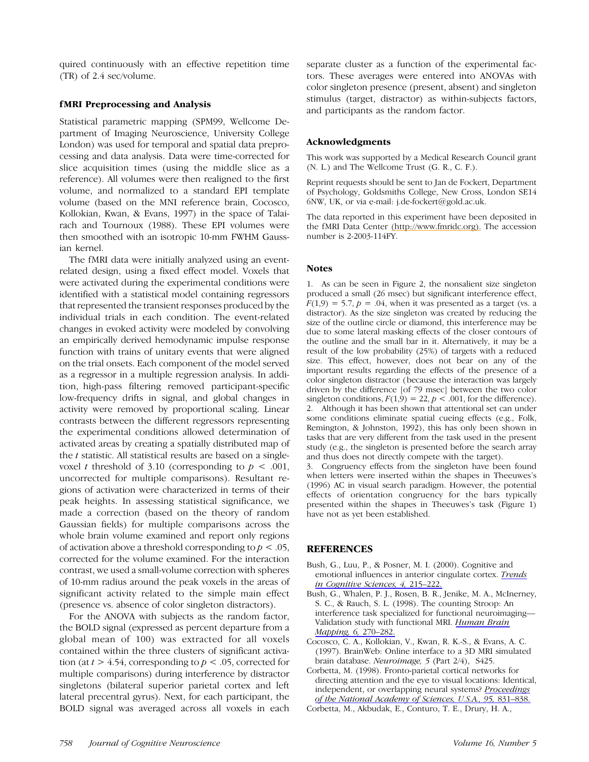quired continuously with an effective repetition time (TR) of 2.4 sec/volume.

### **fMRI Preprocessing and Analysis**

Statistical parametric mapping (SPM99, Wellcome Department of Imaging Neuroscience, University College London) was used for temporal and spatial data preprocessing and data analysis. Data were time-corrected for slice acquisition times (using the middle slice as a reference). All volumes were then realigned to the first volume, and normalized to a standard EPI template volume (based on the MNI reference brain, Cocosco, Kollokian, Kwan, & Evans, 1997) in the space of Talairach and Tournoux (1988). These EPI volumes were then smoothed with an isotropic 10-mm FWHM Gaussian kernel.

The fMRI data were initially analyzed using an eventrelated design, using a fixed effect model. Voxels that were activated during the experimental conditions were identified with a statistical model containing regressors that represented the transient responses produced by the individual trials in each condition. The event-related changes in evoked activity were modeled by convolving an empirically derived hemodynamic impulse response function with trains of unitary events that were aligned on the trial onsets. Each component of the model served as a regressor in a multiple regression analysis. In addition, high-pass filtering removed participant-specific low-frequency drifts in signal, and global changes in activity were removed by proportional scaling. Linear contrasts between the different regressors representing the experimental conditions allowed determination of activated areas by creating a spatially distributed map of the  $t$  statistic. All statistical results are based on a singlevoxel t threshold of 3.10 (corresponding to  $p < .001$ , uncorrected for multiple comparisons). Resultant regions of activation were characterized in terms of their peak heights. In assessing statistical significance, we made a correction (based on the theory of random Gaussian fields) for multiple comparisons across the whole brain volume examined and report only regions of activation above a threshold corresponding to  $p < .05$ , corrected for the volume examined. For the interaction contrast, we used a small-volume correction with spheres of 10-mm radius around the peak voxels in the areas of significant activity related to the simple main effect (presence vs. absence of color singleton distractors).

For the ANOVA with subjects as the random factor, the BOLD signal (expressed as percent departure from a global mean of 100) was extracted for all voxels contained within the three clusters of significant activation (at  $t > 4.54$ , corresponding to  $p < .05$ , corrected for multiple comparisons) during interference by distractor singletons (bilateral superior parietal cortex and left lateral precentral gyrus). Next, for each participant, the BOLD signal was averaged across all voxels in each separate cluster as a function of the experimental factors. These averages were entered into ANOVAs with color singleton presence (present, absent) and singleton stimulus (target, distractor) as within-subjects factors, and participants as the random factor.

### **Acknowledgments**

This work was supported by a Medical Research Council grant (N. L.) and The Wellcome Trust (G. R., C. F.).

Reprint requests should be sent to Jan de Fockert, Department of Psychology, Goldsmiths College, New Cross, London SE14 6NW, UK, or via e-mail: j.de-fockert@gold.ac.uk.

The data reported in this experiment have been deposited in the fMRI Data Center (http://www.fmridc.org). The accession number is 2-2003-114FY.

#### **Notes**

1. As can be seen in Figure 2, the nonsalient size singleton produced a small (26 msec) but significant interference effect,  $F(1,9) = 5.7$ ,  $p = .04$ , when it was presented as a target (vs. a distractor). As the size singleton was created by reducing the size of the outline circle or diamond, this interference may be due to some lateral masking effects of the closer contours of the outline and the small bar in it. Alternatively, it may be a result of the low probability (25%) of targets with a reduced size. This effect, however, does not bear on any of the important results regarding the effects of the presence of a color singleton distractor (because the interaction was largely driven by the difference [of 79 msec] between the two color singleton conditions,  $F(1,9) = 22$ ,  $p < .001$ , for the difference). 2. Although it has been shown that attentional set can under some conditions eliminate spatial cueing effects (e.g., Folk, Remington, & Johnston, 1992), this has only been shown in tasks that are very different from the task used in the present study (e.g., the singleton is presented before the search array and thus does not directly compete with the target).

3. Congruency effects from the singleton have been found when letters were inserted within the shapes in Theeuwes's (1996) AC in visual search paradigm. However, the potential effects of orientation congruency for the bars typically presented within the shapes in Theeuwes's task (Figure 1) have not as yet been established.

#### **REFERENCES**

- Bush, G., Luu, P., & Posner, M. I. (2000). Cognitive and emotional influences in anterior cingulate cortex. Trends in Cognitive Sciences, 4, 215-222.
- Bush, G., Whalen, P. J., Rosen, B. R., Jenike, M. A., McInerney, S. C., & Rauch, S. L. (1998). The counting Stroop: An interference task specialized for functional neuroimaging-Validation study with functional MRI. Human Brain Mapping, 6, 270-282.
- Cocosco, C. A., Kollokian, V., Kwan, R. K.-S., & Evans, A. C. (1997). BrainWeb: Online interface to a 3D MRI simulated brain database. Neuroimage, 5 (Part 2/4), S425.
- Corbetta, M. (1998). Fronto-parietal cortical networks for directing attention and the eye to visual locations: Identical, independent, or overlapping neural systems? Proceedings of the National Academy of Sciences, U.S.A., 95, 831-838.
- Corbetta, M., Akbudak, E., Conturo, T. E., Drury, H. A.,